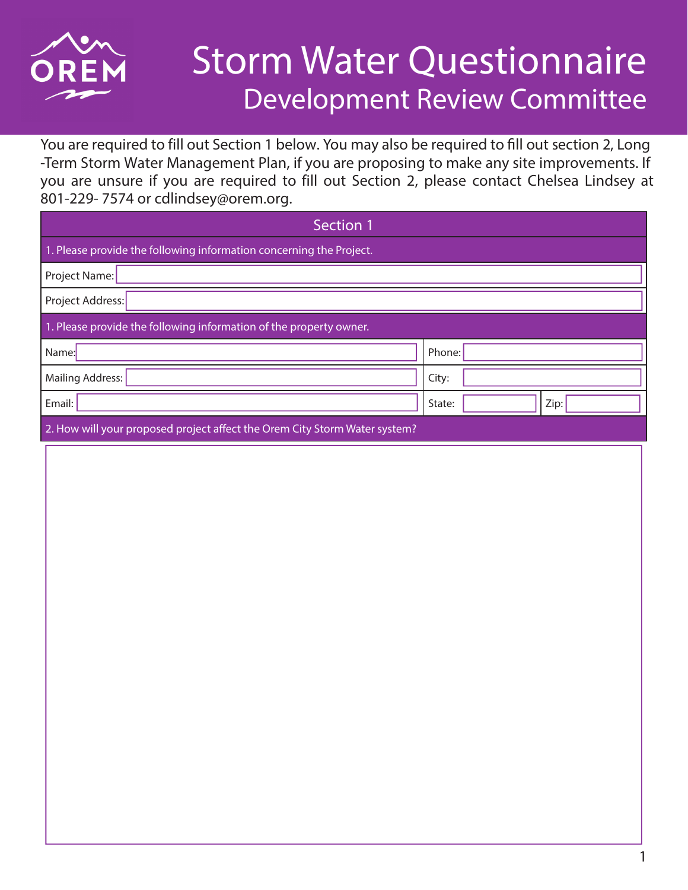

## Storm Water Questionnaire Development Review Committee

You are required to fill out Section 1 below. You may also be required to fill out section 2, Long -Term Storm Water Management Plan, if you are proposing to make any site improvements. If you are unsure if you are required to fill out Section 2, please contact Chelsea Lindsey at 801-229- 7574 or cdlindsey@orem.org.

| Section 1                                                                  |                |  |  |  |  |  |  |  |
|----------------------------------------------------------------------------|----------------|--|--|--|--|--|--|--|
| 1. Please provide the following information concerning the Project.        |                |  |  |  |  |  |  |  |
| Project Name:                                                              |                |  |  |  |  |  |  |  |
| Project Address:                                                           |                |  |  |  |  |  |  |  |
| 1. Please provide the following information of the property owner.         |                |  |  |  |  |  |  |  |
| Name:                                                                      | Phone:         |  |  |  |  |  |  |  |
| <b>Mailing Address:</b>                                                    | City:          |  |  |  |  |  |  |  |
| Email:                                                                     | State:<br>Zip: |  |  |  |  |  |  |  |
| 2. How will your proposed project affect the Orem City Storm Water system? |                |  |  |  |  |  |  |  |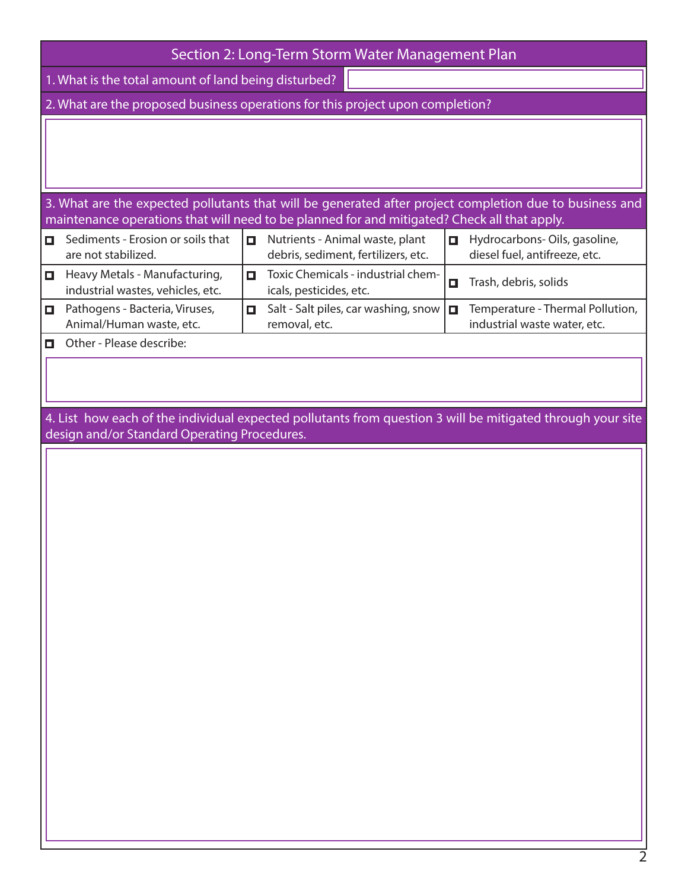|                                                                                | Section 2: Long-Term Storm Water Management Plan                                                                                                           |        |                                                                        |   |                                                                  |  |  |  |  |
|--------------------------------------------------------------------------------|------------------------------------------------------------------------------------------------------------------------------------------------------------|--------|------------------------------------------------------------------------|---|------------------------------------------------------------------|--|--|--|--|
| 1. What is the total amount of land being disturbed?                           |                                                                                                                                                            |        |                                                                        |   |                                                                  |  |  |  |  |
| 2. What are the proposed business operations for this project upon completion? |                                                                                                                                                            |        |                                                                        |   |                                                                  |  |  |  |  |
|                                                                                |                                                                                                                                                            |        |                                                                        |   |                                                                  |  |  |  |  |
|                                                                                | 3. What are the expected pollutants that will be generated after project completion due to business and                                                    |        |                                                                        |   |                                                                  |  |  |  |  |
|                                                                                | maintenance operations that will need to be planned for and mitigated? Check all that apply.                                                               |        |                                                                        |   |                                                                  |  |  |  |  |
| О                                                                              | Sediments - Erosion or soils that<br>are not stabilized.                                                                                                   | $\Box$ | Nutrients - Animal waste, plant<br>debris, sediment, fertilizers, etc. | О | Hydrocarbons-Oils, gasoline,<br>diesel fuel, antifreeze, etc.    |  |  |  |  |
| $\Box$                                                                         | Heavy Metals - Manufacturing,<br>industrial wastes, vehicles, etc.                                                                                         | $\Box$ | Toxic Chemicals - industrial chem-<br>icals, pesticides, etc.          | О | Trash, debris, solids                                            |  |  |  |  |
| О                                                                              | Pathogens - Bacteria, Viruses,<br>Animal/Human waste, etc.                                                                                                 | П.     | Salt - Salt piles, car washing, snow<br>removal, etc.                  | О | Temperature - Thermal Pollution,<br>industrial waste water, etc. |  |  |  |  |
| о                                                                              | Other - Please describe:                                                                                                                                   |        |                                                                        |   |                                                                  |  |  |  |  |
|                                                                                |                                                                                                                                                            |        |                                                                        |   |                                                                  |  |  |  |  |
|                                                                                | 4. List how each of the individual expected pollutants from question 3 will be mitigated through your site<br>design and/or Standard Operating Procedures. |        |                                                                        |   |                                                                  |  |  |  |  |
|                                                                                |                                                                                                                                                            |        |                                                                        |   |                                                                  |  |  |  |  |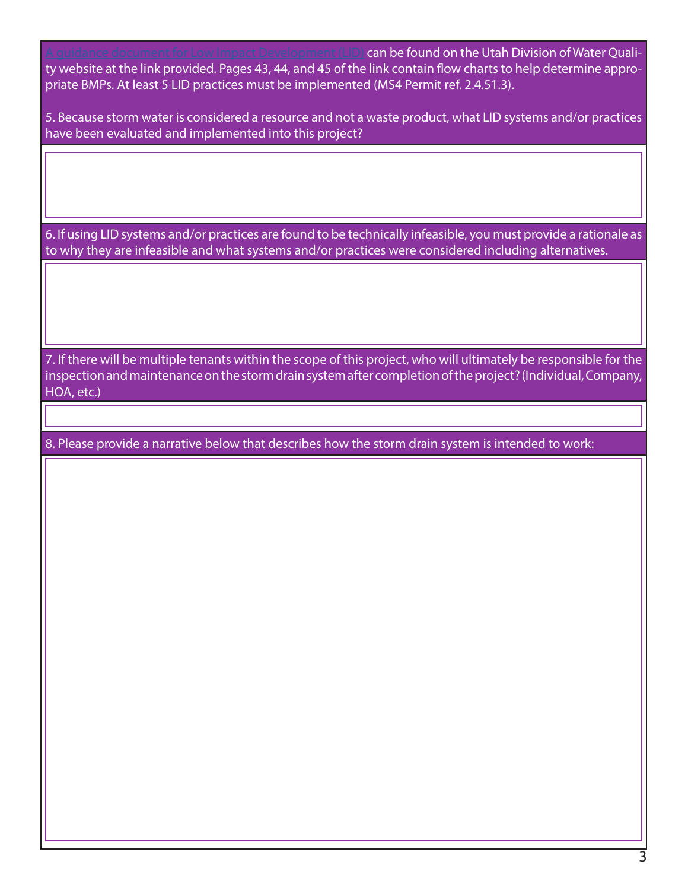**guidance document for Low Impact Development (LID) can be found on the Utah Division of Water Quali**ty website at the link provided. Pages 43, 44, and 45 of the link contain flow charts to help determine appropriate BMPs. At least 5 LID practices must be implemented (MS4 Permit ref. 2.4.51.3).

5. Because storm water is considered a resource and not a waste product, what LID systems and/or practices have been evaluated and implemented into this project?

6. If using LID systems and/or practices are found to be technically infeasible, you must provide a rationale as to why they are infeasible and what systems and/or practices were considered including alternatives.

7. If there will be multiple tenants within the scope of this project, who will ultimately be responsible for the inspection and maintenance on the storm drain system after completion of the project? (Individual, Company, HOA, etc.)

8. Please provide a narrative below that describes how the storm drain system is intended to work: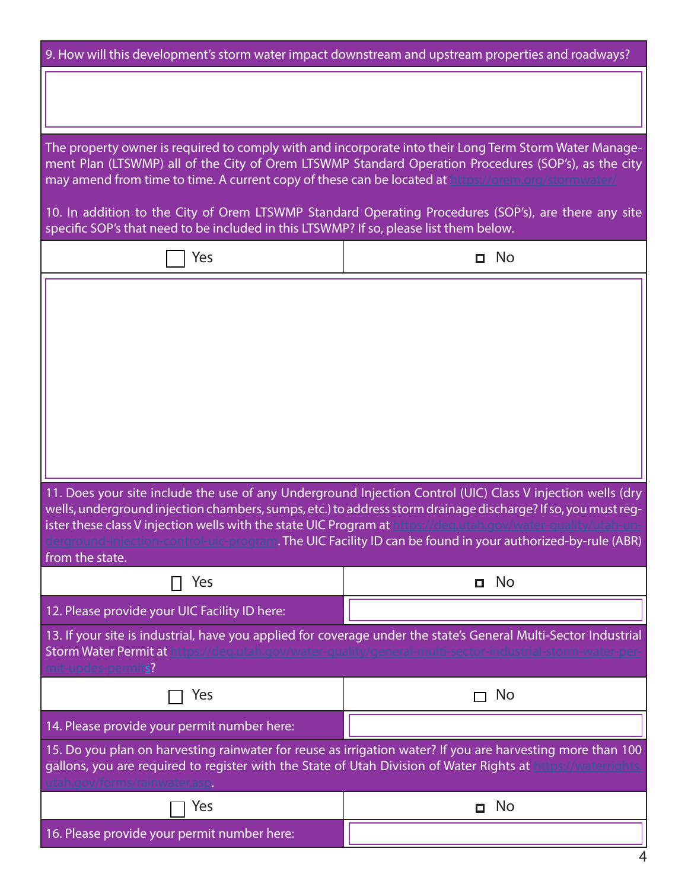| 9. How will this development's storm water impact downstream and upstream properties and roadways?                                                                                                                                                                                                                                                                                                                                                                            |              |  |  |  |  |  |  |  |
|-------------------------------------------------------------------------------------------------------------------------------------------------------------------------------------------------------------------------------------------------------------------------------------------------------------------------------------------------------------------------------------------------------------------------------------------------------------------------------|--------------|--|--|--|--|--|--|--|
|                                                                                                                                                                                                                                                                                                                                                                                                                                                                               |              |  |  |  |  |  |  |  |
| The property owner is required to comply with and incorporate into their Long Term Storm Water Manage-<br>ment Plan (LTSWMP) all of the City of Orem LTSWMP Standard Operation Procedures (SOP's), as the city<br>may amend from time to time. A current copy of these can be located at https://orem.org/stormwater/                                                                                                                                                         |              |  |  |  |  |  |  |  |
| 10. In addition to the City of Orem LTSWMP Standard Operating Procedures (SOP's), are there any site<br>specific SOP's that need to be included in this LTSWMP? If so, please list them below.                                                                                                                                                                                                                                                                                |              |  |  |  |  |  |  |  |
| Yes                                                                                                                                                                                                                                                                                                                                                                                                                                                                           | <b>O</b> No  |  |  |  |  |  |  |  |
| 11. Does your site include the use of any Underground Injection Control (UIC) Class V injection wells (dry<br>wells, underground injection chambers, sumps, etc.) to address storm drainage discharge? If so, you must reg-<br>ister these class V injection wells with the state UIC Program at https://deg.utah.gov/water-quality/utah-un-<br>derground-injection-control-uic-program. The UIC Facility ID can be found in your authorized-by-rule (ABR)<br>from the state. |              |  |  |  |  |  |  |  |
| Yes                                                                                                                                                                                                                                                                                                                                                                                                                                                                           | No<br>О      |  |  |  |  |  |  |  |
| 12. Please provide your UIC Facility ID here:                                                                                                                                                                                                                                                                                                                                                                                                                                 |              |  |  |  |  |  |  |  |
| 13. If your site is industrial, have you applied for coverage under the state's General Multi-Sector Industrial<br>Storm Water Permit at https://deg.utah.gov/water-quality/general-multi-sector-industrial-storm-water-per-<br>mit-updes-permits?                                                                                                                                                                                                                            |              |  |  |  |  |  |  |  |
| Yes                                                                                                                                                                                                                                                                                                                                                                                                                                                                           | No           |  |  |  |  |  |  |  |
| 14. Please provide your permit number here:                                                                                                                                                                                                                                                                                                                                                                                                                                   |              |  |  |  |  |  |  |  |
| 15. Do you plan on harvesting rainwater for reuse as irrigation water? If you are harvesting more than 100<br>gallons, you are required to register with the State of Utah Division of Water Rights at https://waterrights.<br>utah.gov/forms/rainwater.asp.                                                                                                                                                                                                                  |              |  |  |  |  |  |  |  |
| Yes                                                                                                                                                                                                                                                                                                                                                                                                                                                                           | No<br>$\Box$ |  |  |  |  |  |  |  |
| 16. Please provide your permit number here:                                                                                                                                                                                                                                                                                                                                                                                                                                   |              |  |  |  |  |  |  |  |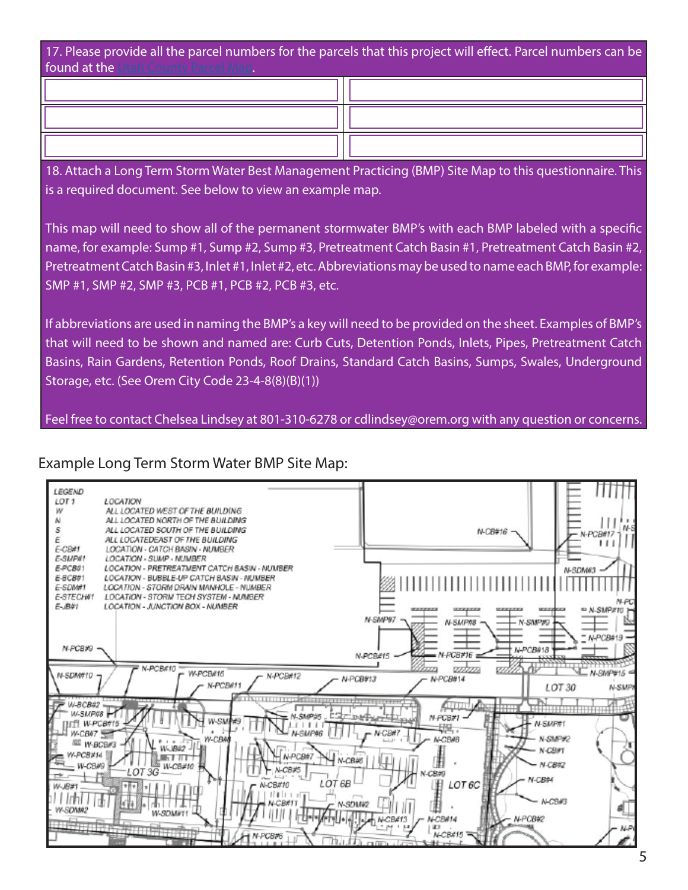17. Please provide all the parcel numbers for the parcels that this project will effect. Parcel numbers can be found at the Utah County Parcel Map.

18. Attach a Long Term Storm Water Best Management Practicing (BMP) Site Map to this questionnaire. This

is a required document. See below to view an example map.

This map will need to show all of the permanent stormwater BMP's with each BMP labeled with a specific name, for example: Sump #1, Sump #2, Sump #3, Pretreatment Catch Basin #1, Pretreatment Catch Basin #2, Pretreatment Catch Basin #3, Inlet #1, Inlet #2, etc. Abbreviations may be used to name each BMP, for example: SMP #1, SMP #2, SMP #3, PCB #1, PCB #2, PCB #3, etc.

If abbreviations are used in naming the BMP's a key will need to be provided on the sheet. Examples of BMP's that will need to be shown and named are: Curb Cuts, Detention Ponds, Inlets, Pipes, Pretreatment Catch Basins, Rain Gardens, Retention Ponds, Roof Drains, Standard Catch Basins, Sumps, Swales, Underground Storage, etc. (See Orem City Code 23-4-8(8)(B)(1))

Feel free to contact Chelsea Lindsey at 801-310-6278 or cdlindsey@orem.org with any question or concerns.

## Example Long Term Storm Water BMP Site Map: